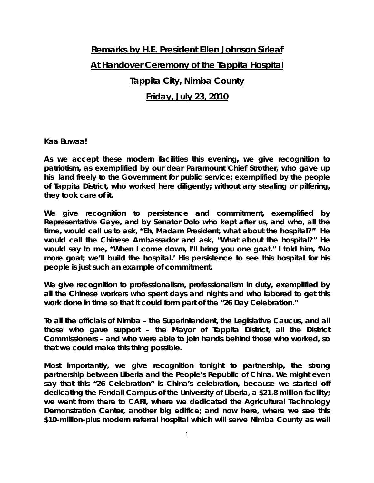## **Remarks by H.E. President Ellen Johnson Sirleaf At Handover Ceremony of the Tappita Hospital Tappita City, Nimba County**

## **Friday, July 23, 2010**

## **Kaa Buwaa!**

**As we accept these modern facilities this evening, we give recognition to patriotism, as exemplified by our dear Paramount Chief Strother, who gave up his land freely to the Government for public service; exemplified by the people of Tappita District, who worked here diligently; without any stealing or pilfering, they took care of it.** 

**We give recognition to persistence and commitment, exemplified by Representative Gaye, and by Senator Dolo who kept after us, and who, all the time, would call us to ask, "Eh, Madam President, what about the hospital?" He would call the Chinese Ambassador and ask, "What about the hospital?" He would say to me, "When I come down, I'll bring you one goat." I told him, 'No more goat; we'll build the hospital.' His persistence to see this hospital for his people is just such an example of commitment.** 

**We give recognition to professionalism, professionalism in duty, exemplified by all the Chinese workers who spent days and nights and who labored to get this work done in time so that it could form part of the "26 Day Celebration."** 

**To all the officials of Nimba – the Superintendent, the Legislative Caucus, and all those who gave support – the Mayor of Tappita District, all the District Commissioners – and who were able to join hands behind those who worked, so that we could make this thing possible.** 

**Most importantly, we give recognition tonight to partnership, the strong partnership between Liberia and the People's Republic of China. We might even say that this "26 Celebration" is China's celebration, because we started off dedicating the Fendall Campus of the University of Liberia, a \$21.8 million facility; we went from there to CARI, where we dedicated the Agricultural Technology Demonstration Center, another big edifice; and now here, where we see this \$10-million-plus modern referral hospital which will serve Nimba County as well**